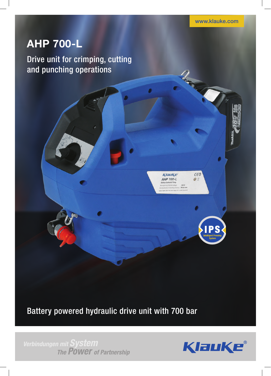www.klauke.com

2000

 $Cef$ 

 $OZ$ 

KlauKe **AHP 700-L** 

# **AHP 700-L**

Drive unit for crimping, cutting and punching operations

Battery powered hydraulic drive unit with 700 bar

Verbindungen mit System<br>The POWer of Partnership

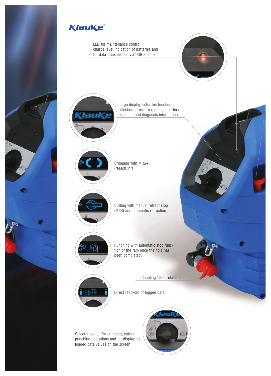

LED for maintenance control, charge level indication of batteries and for data transmission via USB adapter





Large display indicates function selection, pressure readings, battery condition and diagnosis information.



Crimping with MRS+ ("teach in")



Punching with automatic stop function of the ram once the hole has been completed.

Coupling 180° rotatable

Direct read-out of logged data.

Selector switch for crimping, cutting, punching operations and for displaying logged data values on the screen.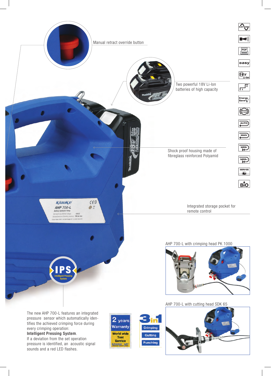

pressure sensor which automatically identifies the achieved crimping force during every crimping operation:

#### Intelligent Pressing System.

If a deviation from the set operation pressure is identified, an acoustic signal sounds and a red LED flashes.